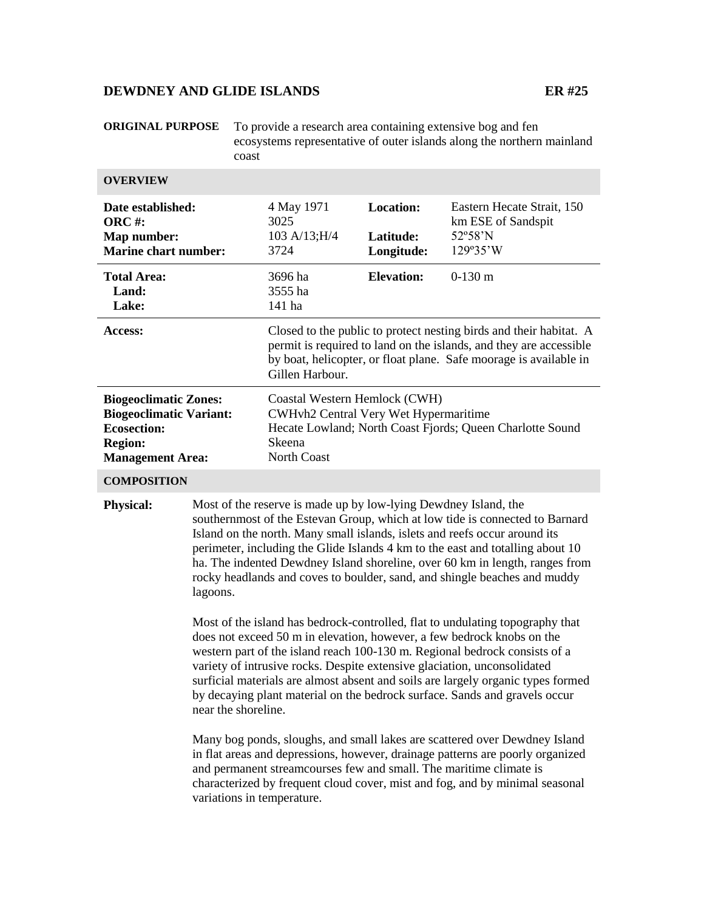### **DEWDNEY AND GLIDE ISLANDS ER #25**

**ORIGINAL PURPOSE** To provide a research area containing extensive bog and fen ecosystems representative of outer islands along the northern mainland coast

| <b>OVERVIEW</b>                                                                                                                                                                                           |                                                                 |                                                                                                                                                                                                                                  |                                      |                                                                         |
|-----------------------------------------------------------------------------------------------------------------------------------------------------------------------------------------------------------|-----------------------------------------------------------------|----------------------------------------------------------------------------------------------------------------------------------------------------------------------------------------------------------------------------------|--------------------------------------|-------------------------------------------------------------------------|
| Date established:<br><b>ORC#:</b><br>Map number:<br><b>Marine chart number:</b>                                                                                                                           |                                                                 | 4 May 1971<br>3025<br>103 A/13; H/4<br>3724                                                                                                                                                                                      | Location:<br>Latitude:<br>Longitude: | Eastern Hecate Strait, 150<br>km ESE of Sandspit<br>52°58'N<br>129°35'W |
| <b>Total Area:</b><br>Land:<br>Lake:                                                                                                                                                                      |                                                                 | 3696 ha<br>3555 ha<br>141 ha                                                                                                                                                                                                     | <b>Elevation:</b>                    | $0-130$ m                                                               |
| Access:                                                                                                                                                                                                   |                                                                 | Closed to the public to protect nesting birds and their habitat. A<br>permit is required to land on the islands, and they are accessible<br>by boat, helicopter, or float plane. Safe moorage is available in<br>Gillen Harbour. |                                      |                                                                         |
| <b>Biogeoclimatic Zones:</b><br>Coastal Western Hemlock (CWH)<br><b>Biogeoclimatic Variant:</b><br><b>Ecosection:</b><br><b>Region:</b><br><b>Skeena</b><br><b>North Coast</b><br><b>Management Area:</b> |                                                                 | CWHyh2 Central Very Wet Hypermaritime<br>Hecate Lowland; North Coast Fjords; Queen Charlotte Sound                                                                                                                               |                                      |                                                                         |
| <b>COMPOSITION</b>                                                                                                                                                                                        |                                                                 |                                                                                                                                                                                                                                  |                                      |                                                                         |
| <b>Physical:</b>                                                                                                                                                                                          | Most of the reserve is made up by low-lying Dewdney Island, the |                                                                                                                                                                                                                                  |                                      |                                                                         |

southernmost of the Estevan Group, which at low tide is connected to Barnard Island on the north. Many small islands, islets and reefs occur around its perimeter, including the Glide Islands 4 km to the east and totalling about 10 ha. The indented Dewdney Island shoreline, over 60 km in length, ranges from rocky headlands and coves to boulder, sand, and shingle beaches and muddy lagoons.

> Most of the island has bedrock-controlled, flat to undulating topography that does not exceed 50 m in elevation, however, a few bedrock knobs on the western part of the island reach 100-130 m. Regional bedrock consists of a variety of intrusive rocks. Despite extensive glaciation, unconsolidated surficial materials are almost absent and soils are largely organic types formed by decaying plant material on the bedrock surface. Sands and gravels occur near the shoreline.

> Many bog ponds, sloughs, and small lakes are scattered over Dewdney Island in flat areas and depressions, however, drainage patterns are poorly organized and permanent streamcourses few and small. The maritime climate is characterized by frequent cloud cover, mist and fog, and by minimal seasonal variations in temperature.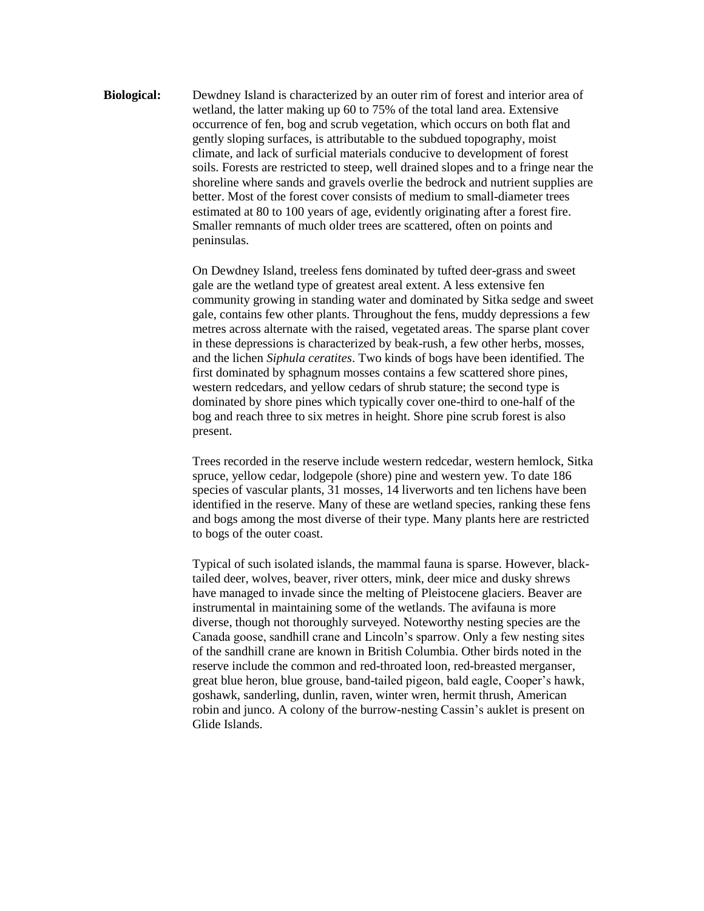**Biological:** Dewdney Island is characterized by an outer rim of forest and interior area of wetland, the latter making up 60 to 75% of the total land area. Extensive occurrence of fen, bog and scrub vegetation, which occurs on both flat and gently sloping surfaces, is attributable to the subdued topography, moist climate, and lack of surficial materials conducive to development of forest soils. Forests are restricted to steep, well drained slopes and to a fringe near the shoreline where sands and gravels overlie the bedrock and nutrient supplies are better. Most of the forest cover consists of medium to small-diameter trees estimated at 80 to 100 years of age, evidently originating after a forest fire. Smaller remnants of much older trees are scattered, often on points and peninsulas.

> On Dewdney Island, treeless fens dominated by tufted deer-grass and sweet gale are the wetland type of greatest areal extent. A less extensive fen community growing in standing water and dominated by Sitka sedge and sweet gale, contains few other plants. Throughout the fens, muddy depressions a few metres across alternate with the raised, vegetated areas. The sparse plant cover in these depressions is characterized by beak-rush, a few other herbs, mosses, and the lichen *Siphula ceratites*. Two kinds of bogs have been identified. The first dominated by sphagnum mosses contains a few scattered shore pines, western redcedars, and yellow cedars of shrub stature; the second type is dominated by shore pines which typically cover one-third to one-half of the bog and reach three to six metres in height. Shore pine scrub forest is also present.

> Trees recorded in the reserve include western redcedar, western hemlock, Sitka spruce, yellow cedar, lodgepole (shore) pine and western yew. To date 186 species of vascular plants, 31 mosses, 14 liverworts and ten lichens have been identified in the reserve. Many of these are wetland species, ranking these fens and bogs among the most diverse of their type. Many plants here are restricted to bogs of the outer coast.

Typical of such isolated islands, the mammal fauna is sparse. However, blacktailed deer, wolves, beaver, river otters, mink, deer mice and dusky shrews have managed to invade since the melting of Pleistocene glaciers. Beaver are instrumental in maintaining some of the wetlands. The avifauna is more diverse, though not thoroughly surveyed. Noteworthy nesting species are the Canada goose, sandhill crane and Lincoln's sparrow. Only a few nesting sites of the sandhill crane are known in British Columbia. Other birds noted in the reserve include the common and red-throated loon, red-breasted merganser, great blue heron, blue grouse, band-tailed pigeon, bald eagle, Cooper's hawk, goshawk, sanderling, dunlin, raven, winter wren, hermit thrush, American robin and junco. A colony of the burrow-nesting Cassin's auklet is present on Glide Islands.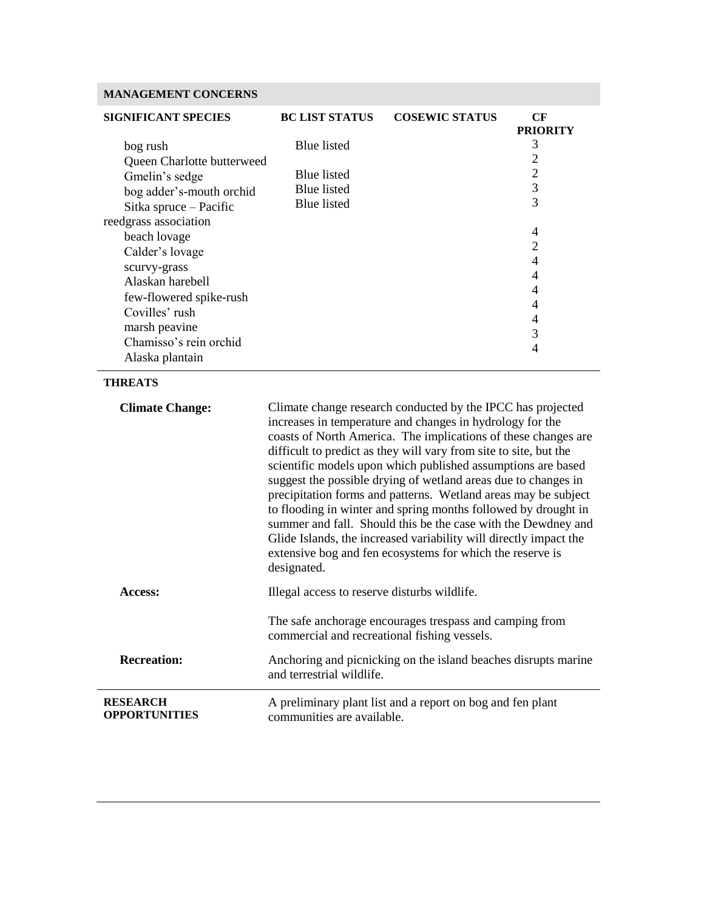# **MANAGEMENT CONCERNS**

| <b>SIGNIFICANT SPECIES</b> | <b>BC LIST STATUS</b> | <b>COSEWIC STATUS</b> | CF<br><b>PRIORITY</b> |
|----------------------------|-----------------------|-----------------------|-----------------------|
| bog rush                   | <b>Blue</b> listed    |                       | 3                     |
| Queen Charlotte butterweed |                       |                       | 2                     |
| Gmelin's sedge             | Blue listed           |                       | $\overline{2}$        |
| bog adder's-mouth orchid   | Blue listed           |                       | 3                     |
| Sitka spruce – Pacific     | Blue listed           |                       | 3                     |
| reedgrass association      |                       |                       |                       |
| beach lovage               |                       |                       | 4                     |
| Calder's lovage            |                       |                       | 2                     |
| scurvy-grass               |                       |                       | 4                     |
| Alaskan harebell           |                       |                       | 4                     |
| few-flowered spike-rush    |                       |                       | 4                     |
|                            |                       |                       | 4                     |
| Covilles' rush             |                       |                       | 4                     |
| marsh peavine              |                       |                       | 3                     |
| Chamisso's rein orchid     |                       |                       | 4                     |
| Alaska plantain            |                       |                       |                       |

## **THREATS**

| <b>Climate Change:</b>                  | Climate change research conducted by the IPCC has projected<br>increases in temperature and changes in hydrology for the<br>coasts of North America. The implications of these changes are<br>difficult to predict as they will vary from site to site, but the<br>scientific models upon which published assumptions are based<br>suggest the possible drying of wetland areas due to changes in<br>precipitation forms and patterns. Wetland areas may be subject<br>to flooding in winter and spring months followed by drought in<br>summer and fall. Should this be the case with the Dewdney and<br>Glide Islands, the increased variability will directly impact the<br>extensive bog and fen ecosystems for which the reserve is<br>designated. |
|-----------------------------------------|---------------------------------------------------------------------------------------------------------------------------------------------------------------------------------------------------------------------------------------------------------------------------------------------------------------------------------------------------------------------------------------------------------------------------------------------------------------------------------------------------------------------------------------------------------------------------------------------------------------------------------------------------------------------------------------------------------------------------------------------------------|
| Access:                                 | Illegal access to reserve disturbs wildlife.                                                                                                                                                                                                                                                                                                                                                                                                                                                                                                                                                                                                                                                                                                            |
|                                         | The safe anchorage encourages trespass and camping from<br>commercial and recreational fishing vessels.                                                                                                                                                                                                                                                                                                                                                                                                                                                                                                                                                                                                                                                 |
| <b>Recreation:</b>                      | Anchoring and picnicking on the island beaches disrupts marine<br>and terrestrial wildlife.                                                                                                                                                                                                                                                                                                                                                                                                                                                                                                                                                                                                                                                             |
| <b>RESEARCH</b><br><b>OPPORTUNITIES</b> | A preliminary plant list and a report on bog and fen plant<br>communities are available.                                                                                                                                                                                                                                                                                                                                                                                                                                                                                                                                                                                                                                                                |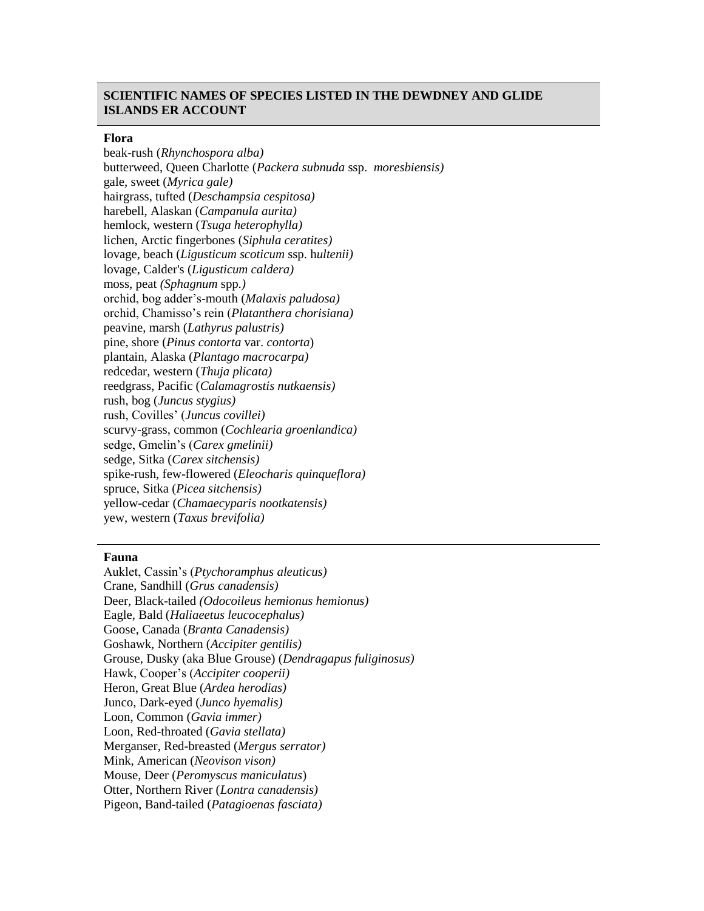## **SCIENTIFIC NAMES OF SPECIES LISTED IN THE DEWDNEY AND GLIDE ISLANDS ER ACCOUNT**

#### **Flora**

beak-rush (*Rhynchospora alba)* butterweed, Queen Charlotte (*Packera subnuda* ssp. *moresbiensis)* gale, sweet (*Myrica gale)* hairgrass, tufted (*Deschampsia cespitosa)* harebell, Alaskan (*Campanula aurita)* hemlock, western (*Tsuga heterophylla)* lichen, Arctic fingerbones (*Siphula ceratites)* lovage, beach (*Ligusticum scoticum* ssp. h*ultenii)* lovage, Calder's (*Ligusticum caldera)* moss, peat *(Sphagnum* spp*.)* orchid, bog adder's-mouth (*Malaxis paludosa)* orchid, Chamisso's rein (*Platanthera chorisiana)* peavine, marsh (*Lathyrus palustris)* pine, shore (*Pinus contorta* var. *contorta*) plantain, Alaska (*Plantago macrocarpa)* redcedar, western (*Thuja plicata)* reedgrass, Pacific (*Calamagrostis nutkaensis)* rush, bog (*Juncus stygius)* rush, Covilles' (*Juncus covillei)* scurvy-grass, common (*Cochlearia groenlandica)* sedge, Gmelin's (*Carex gmelinii)* sedge, Sitka (*Carex sitchensis)* spike-rush, few-flowered (*Eleocharis quinqueflora)* spruce, Sitka (*Picea sitchensis)* yellow-cedar (*Chamaecyparis nootkatensis)* yew, western (*Taxus brevifolia)*

#### **Fauna**

Auklet, Cassin's (*Ptychoramphus aleuticus)* Crane, Sandhill (*[Grus canadensis\)](http://a100.gov.bc.ca/pub/eswp/reports.do?index=0)* Deer, Black-tailed *(Odocoileus hemionus hemionus)*  Eagle, Bald (*Haliaeetus leucocephalus)* Goose, Canada (*Branta Canadensis)* Goshawk, Northern (*Accipiter gentilis)* Grouse, Dusky (aka Blue Grouse) (*Dendragapus fuliginosus)* Hawk, Cooper's (*Accipiter cooperii)* Heron, Great Blue (*Ardea herodias)* Junco, Dark-eyed (*Junco hyemalis)* Loon, Common (*Gavia immer)* Loon, Red-throated (*Gavia stellata)* Merganser, Red-breasted (*Mergus serrator)* Mink, American (*Neovison vison)* Mouse, Deer (*Peromyscus maniculatus*) Otter, Northern River (*Lontra canadensis)* Pigeon, Band-tailed (*Patagioenas fasciata)*